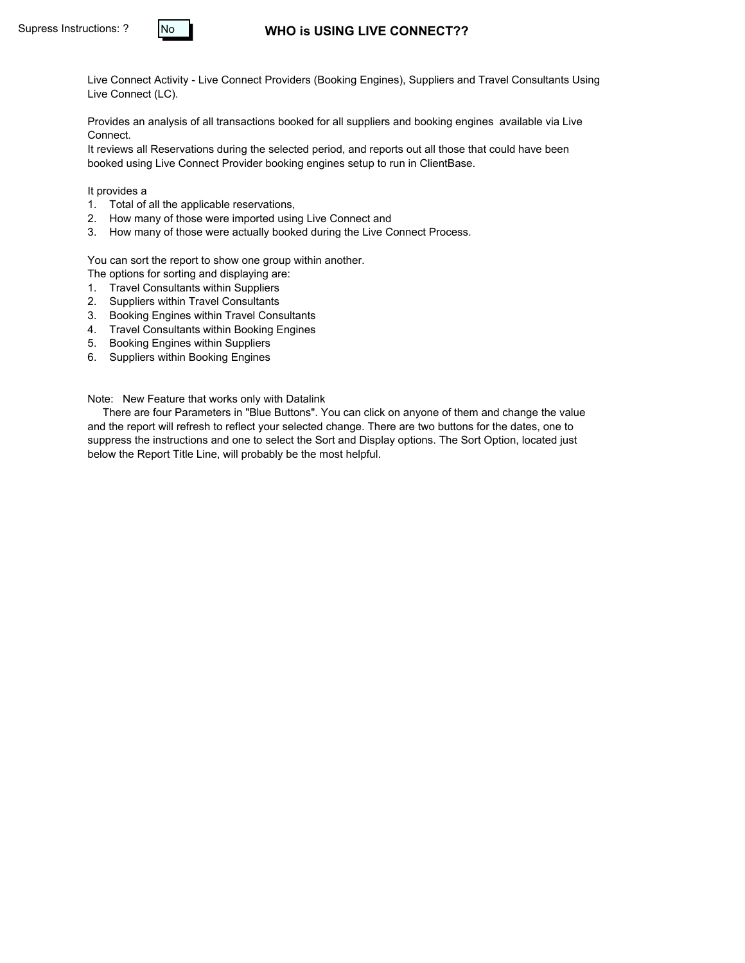#### **WHO is USING LIVE CONNECT??**

Live Connect Activity - Live Connect Providers (Booking Engines), Suppliers and Travel Consultants Using Live Connect (LC).

Provides an analysis of all transactions booked for all suppliers and booking engines available via Live Connect.

It reviews all Reservations during the selected period, and reports out all those that could have been booked using Live Connect Provider booking engines setup to run in ClientBase.

It provides a

- 1. Total of all the applicable reservations,
- 2. How many of those were imported using Live Connect and
- 3. How many of those were actually booked during the Live Connect Process.

You can sort the report to show one group within another.

- The options for sorting and displaying are:
- 1. Travel Consultants within Suppliers
- 2. Suppliers within Travel Consultants
- 3. Booking Engines within Travel Consultants
- 4. Travel Consultants within Booking Engines
- 5. Booking Engines within Suppliers
- 6. Suppliers within Booking Engines

Note: New Feature that works only with Datalink

 There are four Parameters in "Blue Buttons". You can click on anyone of them and change the value and the report will refresh to reflect your selected change. There are two buttons for the dates, one to suppress the instructions and one to select the Sort and Display options. The Sort Option, located just below the Report Title Line, will probably be the most helpful.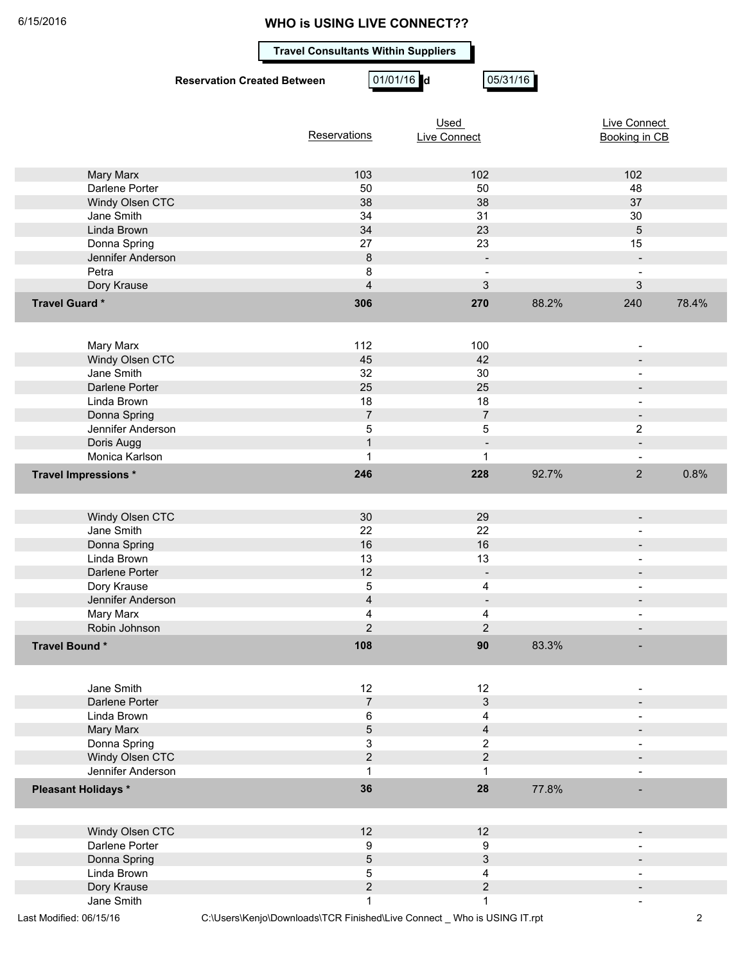#### **Travel Consultants Within Suppliers**

**Reservation Created Between 01/01/16 d** 05/31/16

|                            |                | Used                | Live Connect |                |       |
|----------------------------|----------------|---------------------|--------------|----------------|-------|
|                            | Reservations   | <b>Live Connect</b> |              | Booking in CB  |       |
|                            |                |                     |              |                |       |
|                            |                |                     |              |                |       |
| Mary Marx                  | 103            | 102                 |              | 102            |       |
| Darlene Porter             | 50             | 50                  |              | 48             |       |
| Windy Olsen CTC            | 38             | 38                  |              | 37             |       |
| Jane Smith                 | 34             | 31                  |              | 30             |       |
| Linda Brown                | 34             | 23                  |              | $\overline{5}$ |       |
| Donna Spring               | 27             | 23                  |              | 15             |       |
| Jennifer Anderson          | $\bf 8$        | $\blacksquare$      |              | $\blacksquare$ |       |
| Petra                      | 8              |                     |              |                |       |
| Dory Krause                | $\overline{4}$ | 3                   |              | 3              |       |
| Travel Guard*              | 306            | 270                 | 88.2%        | 240            | 78.4% |
|                            |                |                     |              |                |       |
|                            |                |                     |              |                |       |
|                            | 112            | 100                 |              |                |       |
| Mary Marx                  |                |                     |              |                |       |
| Windy Olsen CTC            | 45             | 42                  |              |                |       |
| Jane Smith                 | 32             | 30                  |              |                |       |
| Darlene Porter             | 25             | 25                  |              |                |       |
| Linda Brown                | 18             | 18                  |              |                |       |
| Donna Spring               | $\overline{7}$ | $\overline{7}$      |              |                |       |
| Jennifer Anderson          | $\,$ 5 $\,$    | 5                   |              | $\mathbf{2}$   |       |
| Doris Augg                 | $\mathbf{1}$   |                     |              | $\blacksquare$ |       |
| Monica Karlson             | 1              | $\mathbf{1}$        |              |                |       |
| Travel Impressions *       | 246            | 228                 | 92.7%        | $\overline{2}$ | 0.8%  |
|                            |                |                     |              |                |       |
|                            |                |                     |              |                |       |
| Windy Olsen CTC            | 30             | 29                  |              | $\blacksquare$ |       |
| Jane Smith                 | 22             | 22                  |              |                |       |
| Donna Spring               | 16             | 16                  |              |                |       |
| Linda Brown                | 13             | 13                  |              |                |       |
| Darlene Porter             | 12             | $\blacksquare$      |              |                |       |
| Dory Krause                | 5              | 4                   |              | ÷              |       |
|                            |                |                     |              |                |       |
| Jennifer Anderson          | $\overline{4}$ |                     |              |                |       |
| Mary Marx                  | 4              | 4                   |              |                |       |
| Robin Johnson              | $\overline{c}$ | $\overline{c}$      |              |                |       |
| Travel Bound*              | 108            | 90                  | 83.3%        |                |       |
|                            |                |                     |              |                |       |
|                            |                |                     |              |                |       |
| Jane Smith                 | 12             | 12                  |              |                |       |
| Darlene Porter             | $\overline{7}$ | 3                   |              |                |       |
| Linda Brown                | 6              | 4                   |              |                |       |
| Mary Marx                  | $5\,$          | $\overline{4}$      |              |                |       |
| Donna Spring               | $\mathbf{3}$   | $\overline{c}$      |              |                |       |
| Windy Olsen CTC            | $\overline{c}$ | $\overline{c}$      |              |                |       |
| Jennifer Anderson          | 1              | $\mathbf 1$         |              |                |       |
|                            |                |                     |              |                |       |
| <b>Pleasant Holidays *</b> | 36             | 28                  | 77.8%        |                |       |
|                            |                |                     |              |                |       |
|                            |                |                     |              |                |       |
| Windy Olsen CTC            | 12             | 12                  |              |                |       |
| Darlene Porter             | 9              | 9                   |              |                |       |
| Donna Spring               | $\sqrt{5}$     | $\sqrt{3}$          |              |                |       |
| Linda Brown                | $\mathbf 5$    | 4                   |              |                |       |
| Dory Krause                | $\overline{c}$ | $\overline{2}$      |              |                |       |
| Jane Smith                 | $\mathbf{1}$   | $\mathbf{1}$        |              |                |       |

Last Modified: 06/15/16 C:\Users\Kenjo\Downloads\TCR Finished\Live Connect \_ Who is USING IT.rpt 2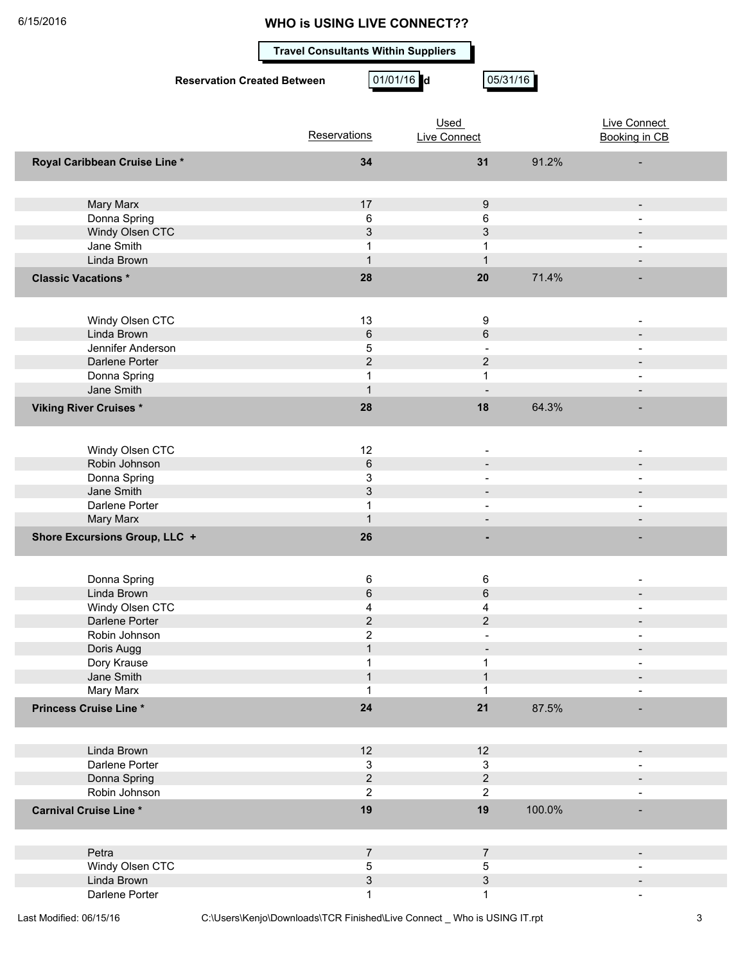**Travel Consultants Within Suppliers**

**Reservation Created Between 01/01/16 d** 05/31/16

|                                 | Reservations      | Used<br><b>Live Connect</b>       |        | Live Connect<br>Booking in CB |
|---------------------------------|-------------------|-----------------------------------|--------|-------------------------------|
|                                 |                   |                                   |        |                               |
| Royal Caribbean Cruise Line *   | 34                | 31                                | 91.2%  |                               |
|                                 |                   |                                   |        |                               |
| Mary Marx                       | 17                | 9                                 |        | $\overline{\phantom{a}}$      |
| Donna Spring                    | 6                 | 6                                 |        |                               |
| Windy Olsen CTC                 | $\mathfrak{S}$    | 3                                 |        |                               |
| Jane Smith                      | 1                 | 1                                 |        |                               |
| Linda Brown                     | $\mathbf{1}$      |                                   |        |                               |
| <b>Classic Vacations *</b>      | 28                | 20                                | 71.4%  |                               |
|                                 |                   |                                   |        |                               |
| Windy Olsen CTC                 | 13                | 9                                 |        |                               |
| Linda Brown                     | $\,6\,$           | $6\phantom{a}$                    |        |                               |
| Jennifer Anderson               | 5                 |                                   |        |                               |
| Darlene Porter                  | $\overline{2}$    | $\overline{2}$                    |        |                               |
| Donna Spring                    | 1                 | 1                                 |        |                               |
| Jane Smith                      | $\mathbf{1}$      |                                   |        |                               |
| <b>Viking River Cruises *</b>   | 28                | 18                                | 64.3%  |                               |
|                                 |                   |                                   |        |                               |
| Windy Olsen CTC                 | 12                |                                   |        |                               |
| Robin Johnson                   | $6\phantom{1}$    |                                   |        |                               |
| Donna Spring                    | 3<br>3            |                                   |        |                               |
| Jane Smith<br>Darlene Porter    | $\mathbf{1}$      |                                   |        |                               |
|                                 | $\mathbf{1}$      |                                   |        |                               |
| Mary Marx                       |                   |                                   |        |                               |
| Shore Excursions Group, LLC +   | 26                |                                   |        |                               |
|                                 |                   |                                   |        |                               |
| Donna Spring                    | 6                 | 6                                 |        |                               |
| Linda Brown                     | $\,6$             | $6\phantom{1}$                    |        |                               |
| Windy Olsen CTC                 | 4                 | 4                                 |        |                               |
| Darlene Porter<br>Robin Johnson | $\overline{c}$    | $\overline{c}$                    |        |                               |
|                                 | 2<br>$\mathbf{1}$ |                                   |        |                               |
| Doris Augg                      | $\mathbf 1$       | $\qquad \qquad \blacksquare$<br>1 |        |                               |
| Dory Krause<br>Jane Smith       | $\mathbf{1}$      | $\mathbf{1}$                      |        |                               |
| Mary Marx                       | 1                 |                                   |        |                               |
| Princess Cruise Line*           | 24                | 21                                | 87.5%  |                               |
|                                 |                   |                                   |        |                               |
| Linda Brown                     | 12                | 12                                |        |                               |
| Darlene Porter                  | $\mathbf{3}$      | $\mathbf{3}$                      |        |                               |
| Donna Spring                    | $\sqrt{2}$        | $\overline{c}$                    |        |                               |
| Robin Johnson                   | $\overline{c}$    | 2                                 |        |                               |
| <b>Carnival Cruise Line*</b>    | 19                | 19                                | 100.0% |                               |
|                                 |                   |                                   |        |                               |
|                                 |                   |                                   |        |                               |
| Petra<br>Windy Olsen CTC        | $\overline{7}$    | $\overline{7}$                    |        |                               |
| Linda Brown                     | 5<br>3            | 5<br>3                            |        |                               |
| Darlene Porter                  | 1                 | 1                                 |        |                               |
|                                 |                   |                                   |        |                               |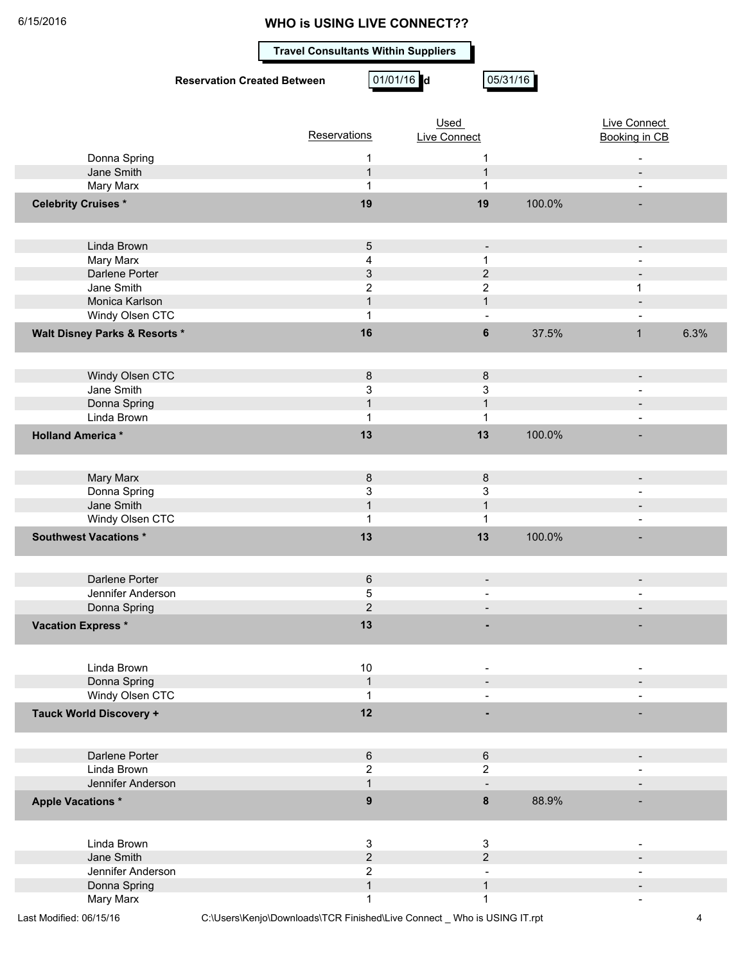**Travel Consultants Within Suppliers**

|                                  | <b>Reservation Created Between</b> | 01/01/16 d            | 05/31/16                 |        |                          |      |
|----------------------------------|------------------------------------|-----------------------|--------------------------|--------|--------------------------|------|
|                                  |                                    |                       | <b>Used</b>              |        | Live Connect             |      |
|                                  |                                    | Reservations          | <b>Live Connect</b>      |        | <b>Booking in CB</b>     |      |
| Donna Spring                     |                                    | 1                     | 1                        |        |                          |      |
| Jane Smith                       |                                    | $\mathbf{1}$          | $\mathbf{1}$             |        | $\blacksquare$           |      |
| Mary Marx                        |                                    | 1                     | 1                        |        | $\blacksquare$           |      |
| <b>Celebrity Cruises*</b>        |                                    | 19                    | 19                       | 100.0% |                          |      |
| Linda Brown                      |                                    | 5                     | $\blacksquare$           |        | $\overline{\phantom{a}}$ |      |
| Mary Marx                        |                                    | 4                     | 1                        |        |                          |      |
| Darlene Porter                   |                                    | 3                     | $\overline{2}$           |        |                          |      |
| Jane Smith                       |                                    | $\overline{2}$        | 2                        |        | 1                        |      |
| Monica Karlson                   |                                    | $\mathbf{1}$          | $\mathbf{1}$             |        |                          |      |
| Windy Olsen CTC                  |                                    | 1                     |                          |        |                          |      |
| Walt Disney Parks & Resorts *    |                                    | 16                    | 6                        | 37.5%  | $\mathbf{1}$             | 6.3% |
| Windy Olsen CTC                  |                                    | 8                     | 8                        |        | $\overline{\phantom{a}}$ |      |
| Jane Smith                       |                                    | 3                     | 3                        |        |                          |      |
| Donna Spring                     |                                    | $\mathbf{1}$          | $\mathbf{1}$             |        |                          |      |
| Linda Brown                      |                                    | 1                     | 1                        |        |                          |      |
| <b>Holland America*</b>          |                                    | 13                    | 13                       | 100.0% |                          |      |
| Mary Marx                        |                                    | 8                     | 8                        |        | $\overline{\phantom{a}}$ |      |
| Donna Spring                     |                                    | 3                     | 3                        |        |                          |      |
| Jane Smith                       |                                    | $\mathbf{1}$          | $\mathbf{1}$             |        |                          |      |
| Windy Olsen CTC                  |                                    | $\mathbf{1}$          | 1                        |        | $\blacksquare$           |      |
| Southwest Vacations *            |                                    | 13                    | 13                       | 100.0% |                          |      |
| Darlene Porter                   |                                    | 6                     |                          |        |                          |      |
| Jennifer Anderson                |                                    | 5                     |                          |        |                          |      |
| Donna Spring                     |                                    | $\overline{2}$        |                          |        |                          |      |
| <b>Vacation Express *</b>        |                                    | 13                    |                          |        |                          |      |
| Linda Brown                      |                                    |                       |                          |        |                          |      |
| Donna Spring                     |                                    | $10$<br>$\mathbf{1}$  | $\overline{\phantom{a}}$ |        | $\overline{\phantom{0}}$ |      |
| Windy Olsen CTC                  |                                    | 1                     |                          |        | $\overline{\phantom{a}}$ |      |
| <b>Tauck World Discovery +</b>   |                                    | 12                    |                          |        |                          |      |
|                                  |                                    |                       |                          |        |                          |      |
| Darlene Porter                   |                                    | 6                     | $\,6\,$                  |        | $\overline{\phantom{a}}$ |      |
| Linda Brown<br>Jennifer Anderson |                                    | $\overline{2}$        | $\overline{2}$           |        |                          |      |
| <b>Apple Vacations *</b>         |                                    | 1<br>$\boldsymbol{9}$ | 8                        | 88.9%  |                          |      |
|                                  |                                    |                       |                          |        |                          |      |
| Linda Brown                      |                                    | 3                     | $\mathbf{3}$             |        |                          |      |
| Jane Smith                       |                                    | $\overline{c}$        | $\overline{2}$           |        |                          |      |
| Jennifer Anderson                |                                    | 2<br>$\mathbf{1}$     | $\mathbf{1}$             |        |                          |      |
| Donna Spring<br>Mary Marx        |                                    | 1                     | 1                        |        |                          |      |
|                                  |                                    |                       |                          |        |                          |      |

Last Modified: 06/15/16 C:\Users\Kenjo\Downloads\TCR Finished\Live Connect \_ Who is USING IT.rpt 4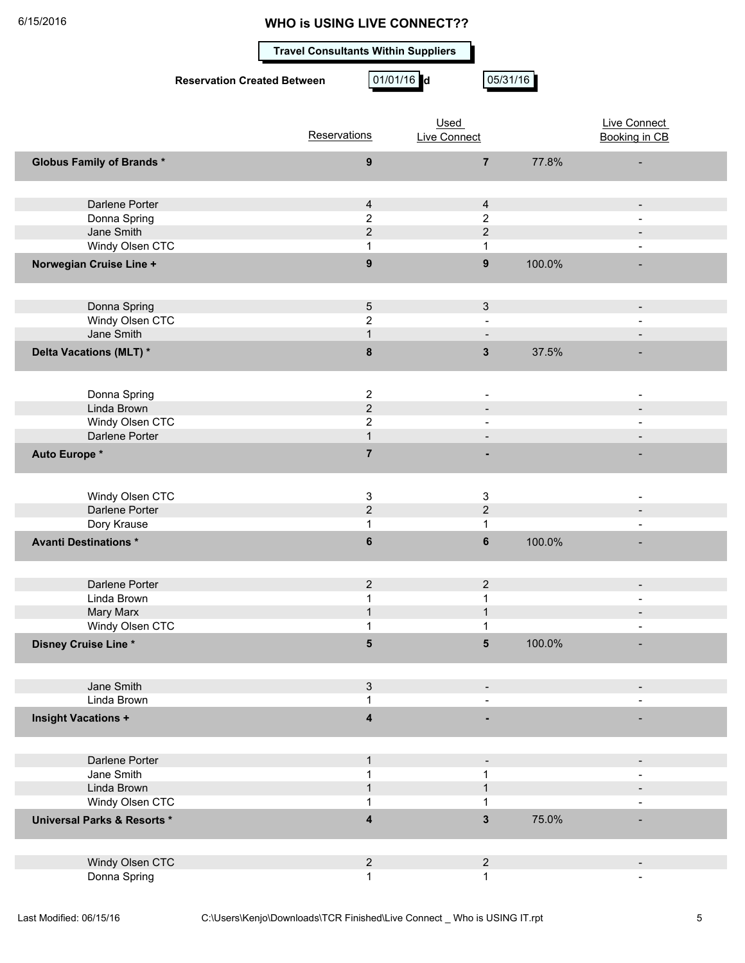**Travel Consultants Within Suppliers**

**Reservation Created Between 01/01/16 d** 05/31/16

|                                        | Reservations                   | Used<br><b>Live Connect</b> |        | <b>Live Connect</b><br><b>Booking in CB</b> |
|----------------------------------------|--------------------------------|-----------------------------|--------|---------------------------------------------|
|                                        |                                |                             |        |                                             |
| <b>Globus Family of Brands *</b>       | $\boldsymbol{9}$               | $\overline{7}$              | 77.8%  |                                             |
|                                        |                                |                             |        |                                             |
| Darlene Porter                         | $\overline{4}$                 | $\overline{4}$              |        | $\overline{\phantom{0}}$                    |
| Donna Spring                           | $\overline{c}$                 | $\overline{2}$              |        |                                             |
| Jane Smith                             | $\overline{2}$                 | $\overline{2}$              |        |                                             |
| Windy Olsen CTC                        | 1                              | $\mathbf{1}$                |        | ÷                                           |
| Norwegian Cruise Line +                | $\mathbf{9}$                   | $\boldsymbol{9}$            | 100.0% |                                             |
|                                        |                                |                             |        |                                             |
|                                        |                                |                             |        |                                             |
| Donna Spring                           | $\sqrt{5}$                     | $\mathbf{3}$                |        | $\overline{\phantom{0}}$                    |
| Windy Olsen CTC                        | $\overline{c}$                 |                             |        |                                             |
| Jane Smith                             | $\mathbf{1}$                   |                             |        |                                             |
| Delta Vacations (MLT) *                | $\bf8$                         | $\mathbf{3}$                | 37.5%  |                                             |
|                                        |                                |                             |        |                                             |
|                                        |                                |                             |        |                                             |
| Donna Spring                           | $\boldsymbol{2}$               |                             |        |                                             |
| Linda Brown                            | $\overline{2}$                 |                             |        |                                             |
| Windy Olsen CTC<br>Darlene Porter      | $\overline{2}$<br>$\mathbf{1}$ |                             |        |                                             |
|                                        |                                |                             |        |                                             |
| Auto Europe *                          | $\overline{7}$                 |                             |        |                                             |
|                                        |                                |                             |        |                                             |
| Windy Olsen CTC                        | 3                              | 3                           |        |                                             |
| Darlene Porter                         | $\overline{2}$                 | $\overline{2}$              |        | $\overline{\phantom{0}}$                    |
| Dory Krause                            | 1                              | 1                           |        |                                             |
|                                        |                                |                             |        |                                             |
| <b>Avanti Destinations*</b>            | $\bf 6$                        | $\bf 6$                     | 100.0% |                                             |
|                                        |                                |                             |        |                                             |
| Darlene Porter                         | $\overline{2}$                 | $\overline{2}$              |        | $\qquad \qquad \blacksquare$                |
| Linda Brown                            | 1                              | $\mathbf 1$                 |        |                                             |
| Mary Marx                              | $\mathbf{1}$                   | $\mathbf{1}$                |        |                                             |
| Windy Olsen CTC                        | 1                              | 1                           |        |                                             |
| Disney Cruise Line *                   | 5                              | $5\phantom{1}$              | 100.0% |                                             |
|                                        |                                |                             |        |                                             |
|                                        |                                |                             |        |                                             |
| Jane Smith                             | 3                              |                             |        |                                             |
| Linda Brown                            | 1                              |                             |        |                                             |
| <b>Insight Vacations +</b>             | $\boldsymbol{4}$               |                             |        |                                             |
|                                        |                                |                             |        |                                             |
|                                        |                                |                             |        |                                             |
| Darlene Porter                         | $\mathbf{1}$                   |                             |        | $\overline{\phantom{0}}$                    |
| Jane Smith                             | 1                              | 1                           |        |                                             |
| Linda Brown                            | $\mathbf{1}$                   | $\mathbf 1$                 |        |                                             |
| Windy Olsen CTC                        | 1                              | 1                           |        |                                             |
| <b>Universal Parks &amp; Resorts *</b> | $\overline{\mathbf{4}}$        | $\mathbf{3}$                | 75.0%  |                                             |
|                                        |                                |                             |        |                                             |
|                                        |                                |                             |        |                                             |
| Windy Olsen CTC                        | $\overline{2}$                 | $\overline{2}$              |        | $\overline{\phantom{0}}$                    |
| Donna Spring                           | 1                              | 1                           |        |                                             |